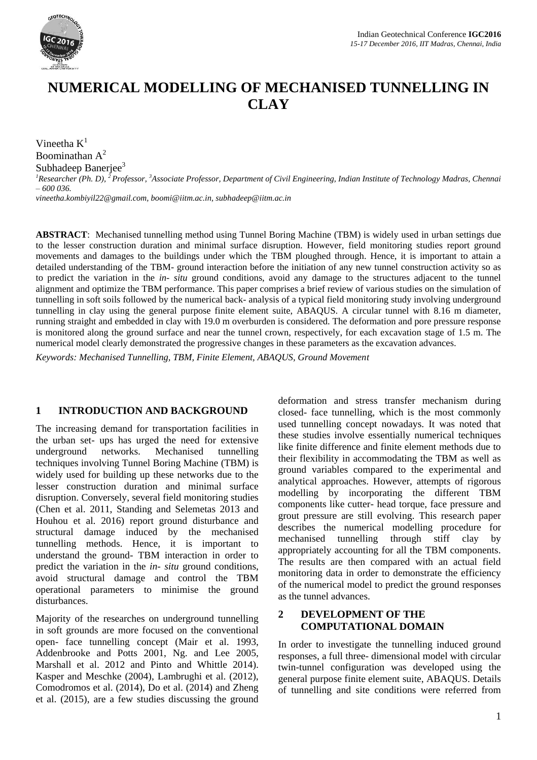

# **NUMERICAL MODELLING OF MECHANISED TUNNELLING IN CLAY**

Vineetha  $K^1$ Boominathan  $A^2$ Subhadeep Banerjee<sup>3</sup>

*<sup>1</sup>Researcher (Ph. D), <sup>2</sup>Professor, <sup>3</sup>Associate Professor, Department of Civil Engineering, Indian Institute of Technology Madras, Chennai – 600 036.*

*vineetha.kombiyil22@gmail.com, boomi@iitm.ac.in, subhadeep@iitm.ac.in*

**ABSTRACT**: Mechanised tunnelling method using Tunnel Boring Machine (TBM) is widely used in urban settings due to the lesser construction duration and minimal surface disruption. However, field monitoring studies report ground movements and damages to the buildings under which the TBM ploughed through. Hence, it is important to attain a detailed understanding of the TBM- ground interaction before the initiation of any new tunnel construction activity so as to predict the variation in the *in- situ* ground conditions, avoid any damage to the structures adjacent to the tunnel alignment and optimize the TBM performance. This paper comprises a brief review of various studies on the simulation of tunnelling in soft soils followed by the numerical back- analysis of a typical field monitoring study involving underground tunnelling in clay using the general purpose finite element suite, ABAQUS. A circular tunnel with 8.16 m diameter, running straight and embedded in clay with 19.0 m overburden is considered. The deformation and pore pressure response is monitored along the ground surface and near the tunnel crown, respectively, for each excavation stage of 1.5 m. The numerical model clearly demonstrated the progressive changes in these parameters as the excavation advances.

*Keywords: Mechanised Tunnelling, TBM, Finite Element, ABAQUS, Ground Movement*

# **1 INTRODUCTION AND BACKGROUND**

The increasing demand for transportation facilities in the urban set- ups has urged the need for extensive underground networks. Mechanised tunnelling techniques involving Tunnel Boring Machine (TBM) is widely used for building up these networks due to the lesser construction duration and minimal surface disruption. Conversely, several field monitoring studies (Chen et al. 2011, Standing and Selemetas 2013 and Houhou et al. 2016) report ground disturbance and structural damage induced by the mechanised tunnelling methods. Hence, it is important to understand the ground- TBM interaction in order to predict the variation in the *in- situ* ground conditions, avoid structural damage and control the TBM operational parameters to minimise the ground disturbances.

Majority of the researches on underground tunnelling in soft grounds are more focused on the conventional open- face tunnelling concept (Mair et al. 1993, Addenbrooke and Potts 2001, Ng. and Lee 2005, Marshall et al. 2012 and Pinto and Whittle 2014). Kasper and Meschke (2004), Lambrughi et al. (2012), Comodromos et al. (2014), Do et al. (2014) and Zheng et al. (2015), are a few studies discussing the ground

deformation and stress transfer mechanism during closed- face tunnelling, which is the most commonly used tunnelling concept nowadays. It was noted that these studies involve essentially numerical techniques like finite difference and finite element methods due to their flexibility in accommodating the TBM as well as ground variables compared to the experimental and analytical approaches. However, attempts of rigorous modelling by incorporating the different TBM components like cutter- head torque, face pressure and grout pressure are still evolving. This research paper describes the numerical modelling procedure for mechanised tunnelling through stiff clay by appropriately accounting for all the TBM components. The results are then compared with an actual field monitoring data in order to demonstrate the efficiency of the numerical model to predict the ground responses as the tunnel advances.

# **2 DEVELOPMENT OF THE COMPUTATIONAL DOMAIN**

In order to investigate the tunnelling induced ground responses, a full three- dimensional model with circular twin-tunnel configuration was developed using the general purpose finite element suite, ABAQUS. Details of tunnelling and site conditions were referred from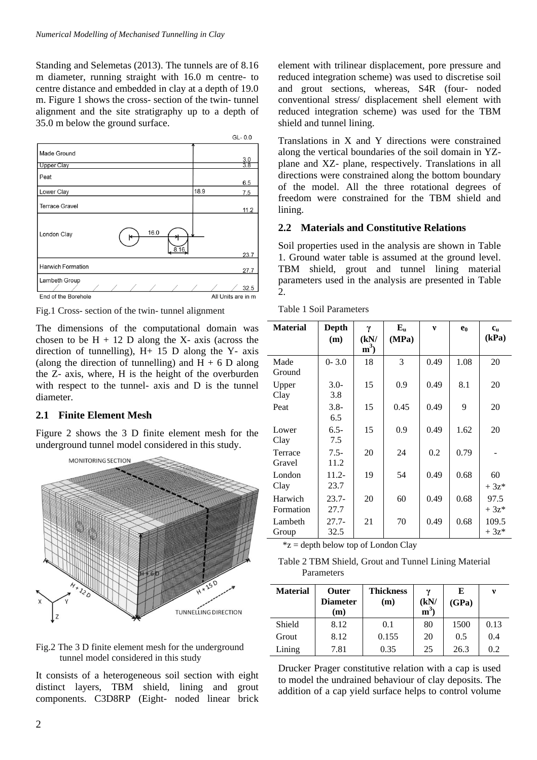Standing and Selemetas (2013). The tunnels are of 8.16 m diameter, running straight with 16.0 m centre- to centre distance and embedded in clay at a depth of 19.0 m. Figure 1 shows the cross- section of the twin- tunnel alignment and the site stratigraphy up to a depth of 35.0 m below the ground surface.



Fig.1 Cross- section of the twin- tunnel alignment

The dimensions of the computational domain was chosen to be  $H + 12$  D along the X- axis (across the direction of tunnelling),  $H+ 15$  D along the Y- axis  $\overline{\phantom{a}}$ (along the direction of tunnelling) and  $H + 6$  D along the Z- axis, where, H is the height of the overburden with respect to the tunnel- axis and D is the tunnel diameter.

# **2.1 Finite Element Mesh**

Figure 2 shows the 3 D finite element mesh for the underground tunnel model considered in this study.



Fig.2 The 3 D finite element mesh for the underground tunnel model considered in this study

It consists of a heterogeneous soil section with eight distinct layers, TBM shield, lining and grout components. C3D8RP (Eight- noded linear brick

element with trilinear displacement, pore pressure and reduced integration scheme) was used to discretise soil and grout sections, whereas, S4R (four- noded conventional stress/ displacement shell element with reduced integration scheme) was used for the TBM shield and tunnel lining.

Translations in X and Y directions were constrained along the vertical boundaries of the soil domain in YZplane and XZ- plane, respectively. Translations in all directions were constrained along the bottom boundary of the model. All the three rotational degrees of freedom were constrained for the TBM shield and lining.

#### **2.2 Materials and Constitutive Relations**

Soil properties used in the analysis are shown in Table 1. Ground water table is assumed at the ground level. TBM shield, grout and tunnel lining material parameters used in the analysis are presented in Table  $\mathcal{L}$ 

|  | Table 1 Soil Parameters |
|--|-------------------------|
|--|-------------------------|

| <b>Material</b>      | Depth<br>(m)     | γ<br>(kN)<br>$m^3$ | ${\bf E}_{\bf n}$<br>(MPa) | $\mathbf{v}$ | $e_0$ | $c_n$<br>(kPa)   |
|----------------------|------------------|--------------------|----------------------------|--------------|-------|------------------|
| Made<br>Ground       | $0 - 3.0$        | 18                 | 3                          | 0.49         | 1.08  | 20               |
| Upper<br>Clay        | $3.0-$<br>3.8    | 15                 | 0.9                        | 0.49         | 8.1   | 20               |
| Peat                 | $3.8-$<br>6.5    | 15                 | 0.45                       | 0.49         | 9     | 20               |
| Lower<br>Clay        | $6.5-$<br>7.5    | 15                 | 0.9                        | 0.49         | 1.62  | 20               |
| Terrace<br>Gravel    | $7.5 -$<br>11.2  | 20                 | 24                         | 0.2          | 0.79  |                  |
| London<br>Clay       | $11.2 -$<br>23.7 | 19                 | 54                         | 0.49         | 0.68  | 60<br>$+3z^*$    |
| Harwich<br>Formation | $23.7 -$<br>27.7 | 20                 | 60                         | 0.49         | 0.68  | 97.5<br>$+3z^*$  |
| Lambeth<br>Group     | $27.7-$<br>32.5  | 21                 | 70                         | 0.49         | 0.68  | 109.5<br>$+3z^*$ |

 $z =$  depth below top of London Clay

Table 2 TBM Shield, Grout and Tunnel Lining Material Parameters

| <b>Material</b> | Outer<br><b>Diameter</b><br>(m) | <b>Thickness</b><br>(m) | $\sim$<br>(kN)<br>$m^3$ | E<br>(GPa) | v    |
|-----------------|---------------------------------|-------------------------|-------------------------|------------|------|
| Shield          | 8.12                            | 0.1                     | 80                      | 1500       | 0.13 |
| Grout           | 8.12                            | 0.155                   | 20                      | 0.5        | 0.4  |
| Lining          | 7.81                            | 0.35                    | 25                      | 26.3       | 0.2  |

Drucker Prager constitutive relation with a cap is used to model the undrained behaviour of clay deposits. The addition of a cap yield surface helps to control volume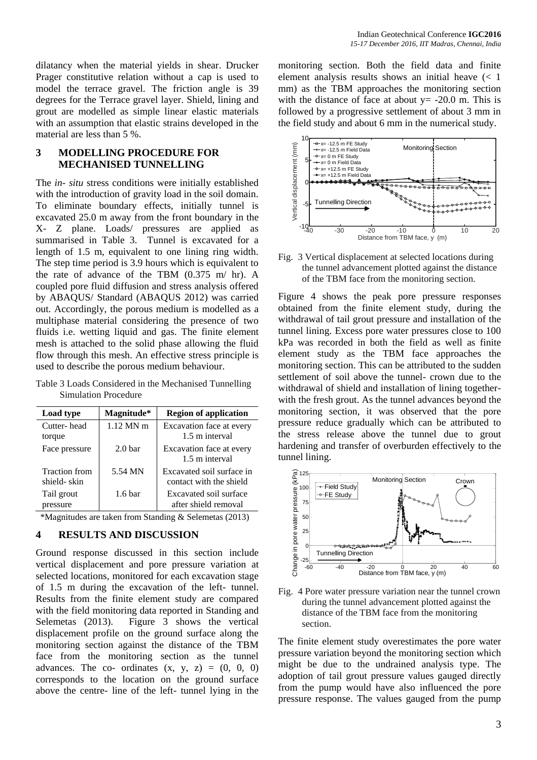dilatancy when the material yields in shear. Drucker Prager constitutive relation without a cap is used to model the terrace gravel. The friction angle is 39 degrees for the Terrace gravel layer. Shield, lining and grout are modelled as simple linear elastic materials with an assumption that elastic strains developed in the material are less than 5 %.

# **3 MODELLING PROCEDURE FOR MECHANISED TUNNELLING**

The *in- situ* stress conditions were initially established with the introduction of gravity load in the soil domain. To eliminate boundary effects, initially tunnel is excavated 25.0 m away from the front boundary in the X- Z plane. Loads/ pressures are applied as summarised in Table 3. Tunnel is excavated for a length of 1.5 m, equivalent to one lining ring width. The step time period is 3.9 hours which is equivalent to the rate of advance of the TBM (0.375 m/ hr). A coupled pore fluid diffusion and stress analysis offered by ABAQUS/ Standard (ABAQUS 2012) was carried out. Accordingly, the porous medium is modelled as a multiphase material considering the presence of two fluids i.e. wetting liquid and gas. The finite element mesh is attached to the solid phase allowing the fluid flow through this mesh. An effective stress principle is used to describe the porous medium behaviour.

Table 3 Loads Considered in the Mechanised Tunnelling Simulation Procedure

| Load type                            | Magnitude*         | <b>Region of application</b>                         |
|--------------------------------------|--------------------|------------------------------------------------------|
| Cutter-head<br>torque                | $1.12$ MN m        | Excavation face at every<br>1.5 m interval           |
| Face pressure                        | 2.0 <sub>bar</sub> | Excavation face at every<br>1.5 m interval           |
| <b>Traction</b> from<br>shield- skin | 5.54 MN            | Excavated soil surface in<br>contact with the shield |
| Tail grout<br>pressure               | 1.6 <sub>bar</sub> | Excavated soil surface<br>after shield removal       |

\*Magnitudes are taken from Standing & Selemetas (2013)

# **4 RESULTS AND DISCUSSION**

Ground response discussed in this section include vertical displacement and pore pressure variation at selected locations, monitored for each excavation stage of 1.5 m during the excavation of the left- tunnel. Results from the finite element study are compared with the field monitoring data reported in Standing and Selemetas (2013). Figure 3 shows the vertical displacement profile on the ground surface along the monitoring section against the distance of the TBM face from the monitoring section as the tunnel advances. The co- ordinates  $(x, y, z) = (0, 0, 0)$ corresponds to the location on the ground surface above the centre- line of the left- tunnel lying in the

monitoring section. Both the field data and finite element analysis results shows an initial heave (< 1 mm) as the TBM approaches the monitoring section with the distance of face at about  $y = -20.0$  m. This is followed by a progressive settlement of about 3 mm in the field study and about 6 mm in the numerical study.



Fig. 3 Vertical displacement at selected locations during the tunnel advancement plotted against the distance of the TBM face from the monitoring section.

Figure 4 shows the peak pore pressure responses obtained from the finite element study, during the withdrawal of tail grout pressure and installation of the tunnel lining. Excess pore water pressures close to 100 kPa was recorded in both the field as well as finite element study as the TBM face approaches the monitoring section. This can be attributed to the sudden settlement of soil above the tunnel- crown due to the withdrawal of shield and installation of lining togetherwith the fresh grout. As the tunnel advances beyond the monitoring section, it was observed that the pore pressure reduce gradually which can be attributed to the stress release above the tunnel due to grout hardening and transfer of overburden effectively to the tunnel lining.



Fig. 4 Pore water pressure variation near the tunnel crown during the tunnel advancement plotted against the distance of the TBM face from the monitoring section.

The finite element study overestimates the pore water pressure variation beyond the monitoring section which might be due to the undrained analysis type. The adoption of tail grout pressure values gauged directly from the pump would have also influenced the pore pressure response. The values gauged from the pump